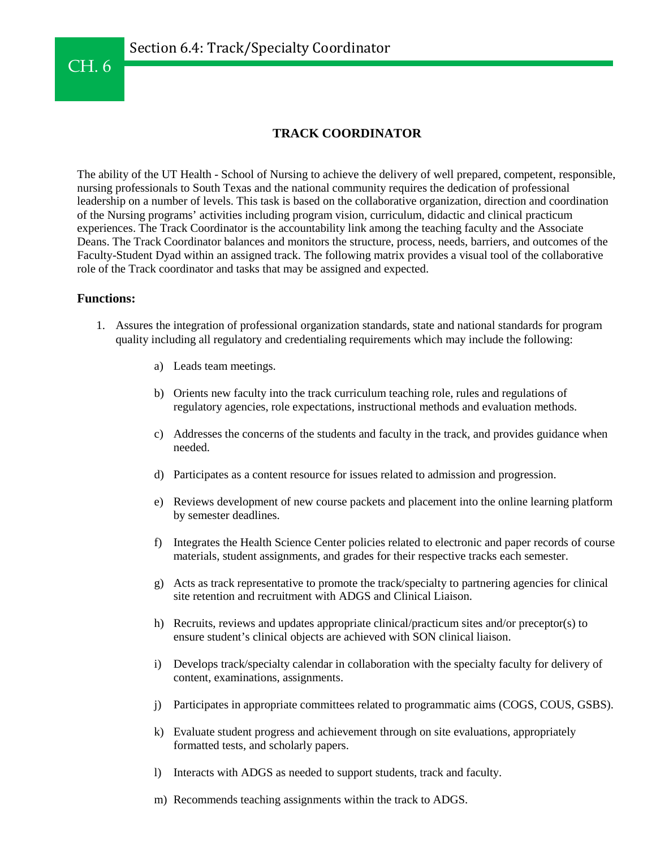## **TRACK COORDINATOR**

The ability of the UT Health - School of Nursing to achieve the delivery of well prepared, competent, responsible, nursing professionals to South Texas and the national community requires the dedication of professional leadership on a number of levels. This task is based on the collaborative organization, direction and coordination of the Nursing programs' activities including program vision, curriculum, didactic and clinical practicum experiences. The Track Coordinator is the accountability link among the teaching faculty and the Associate Deans. The Track Coordinator balances and monitors the structure, process, needs, barriers, and outcomes of the Faculty-Student Dyad within an assigned track. The following matrix provides a visual tool of the collaborative role of the Track coordinator and tasks that may be assigned and expected.

## **Functions:**

- 1. Assures the integration of professional organization standards, state and national standards for program quality including all regulatory and credentialing requirements which may include the following:
	- a) Leads team meetings.
	- b) Orients new faculty into the track curriculum teaching role, rules and regulations of regulatory agencies, role expectations, instructional methods and evaluation methods.
	- c) Addresses the concerns of the students and faculty in the track, and provides guidance when needed.
	- d) Participates as a content resource for issues related to admission and progression.
	- e) Reviews development of new course packets and placement into the online learning platform by semester deadlines.
	- f) Integrates the Health Science Center policies related to electronic and paper records of course materials, student assignments, and grades for their respective tracks each semester.
	- g) Acts as track representative to promote the track/specialty to partnering agencies for clinical site retention and recruitment with ADGS and Clinical Liaison.
	- h) Recruits, reviews and updates appropriate clinical/practicum sites and/or preceptor(s) to ensure student's clinical objects are achieved with SON clinical liaison.
	- i) Develops track/specialty calendar in collaboration with the specialty faculty for delivery of content, examinations, assignments.
	- j) Participates in appropriate committees related to programmatic aims (COGS, COUS, GSBS).
	- k) Evaluate student progress and achievement through on site evaluations, appropriately formatted tests, and scholarly papers.
	- l) Interacts with ADGS as needed to support students, track and faculty.
	- m) Recommends teaching assignments within the track to ADGS.